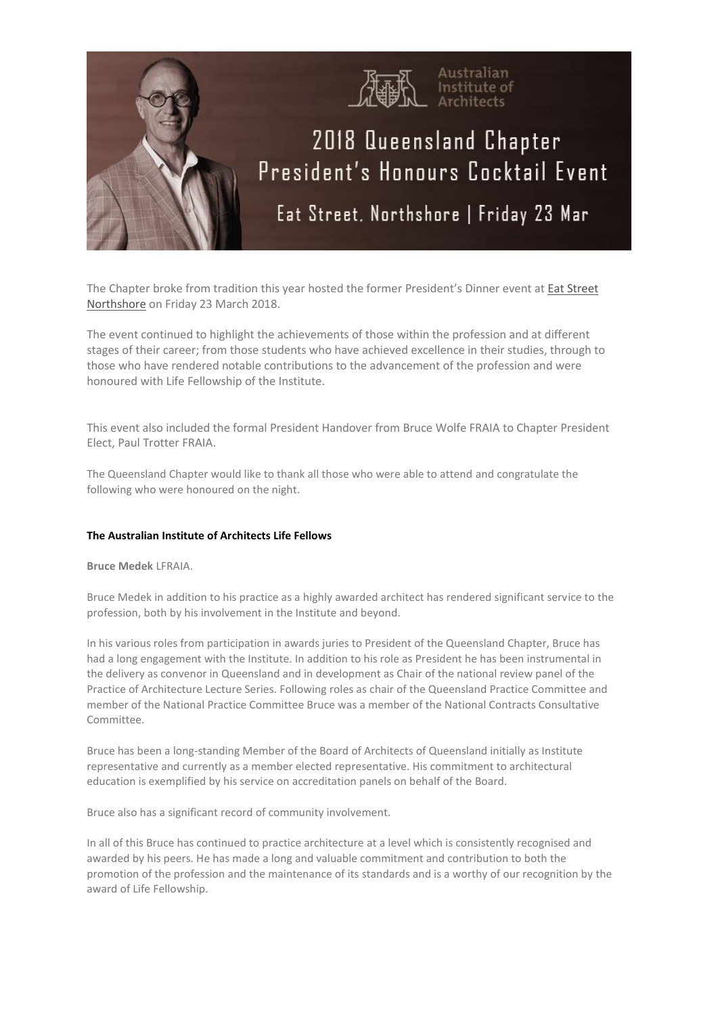

The Chapter broke from tradition this year hosted the former President's Dinner event at Eat [Street](https://eatstreetmarkets.com/) [Northshore](https://eatstreetmarkets.com/) on Friday 23 March 2018.

The event continued to highlight the achievements of those within the profession and at different stages of their career; from those students who have achieved excellence in their studies, through to those who have rendered notable contributions to the advancement of the profession and were honoured with Life Fellowship of the Institute.

This event also included the formal President Handover from Bruce Wolfe FRAIA to Chapter President Elect, Paul Trotter FRAIA.

The Queensland Chapter would like to thank all those who were able to attend and congratulate the following who were honoured on the night.

# **The Australian Institute of Architects Life Fellows**

### **Bruce Medek** LFRAIA.

Bruce Medek in addition to his practice as a highly awarded architect has rendered significant service to the profession, both by his involvement in the Institute and beyond.

In his various roles from participation in awards juries to President of the Queensland Chapter, Bruce has had a long engagement with the Institute. In addition to his role as President he has been instrumental in the delivery as convenor in Queensland and in development as Chair of the national review panel of the Practice of Architecture Lecture Series. Following roles as chair of the Queensland Practice Committee and member of the National Practice Committee Bruce was a member of the National Contracts Consultative Committee.

Bruce has been a long-standing Member of the Board of Architects of Queensland initially as Institute representative and currently as a member elected representative. His commitment to architectural education is exemplified by his service on accreditation panels on behalf of the Board.

Bruce also has a significant record of community involvement.

In all of this Bruce has continued to practice architecture at a level which is consistently recognised and awarded by his peers. He has made a long and valuable commitment and contribution to both the promotion of the profession and the maintenance of its standards and is a worthy of our recognition by the award of Life Fellowship.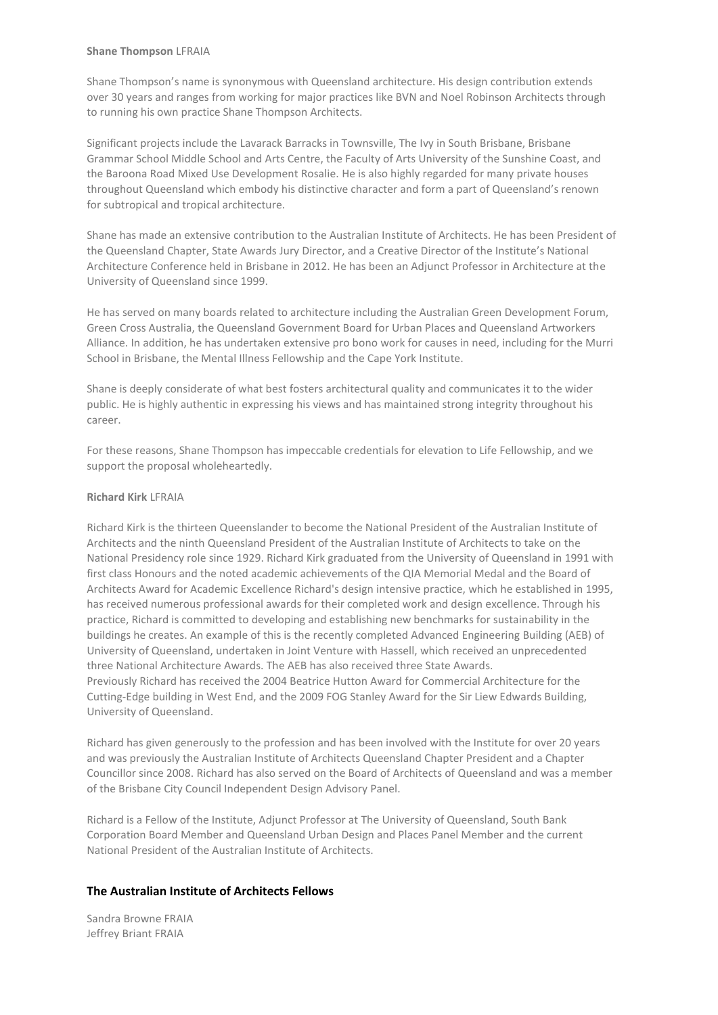#### **Shane Thompson** LFRAIA

Shane Thompson's name is synonymous with Queensland architecture. His design contribution extends over 30 years and ranges from working for major practices like BVN and Noel Robinson Architects through to running his own practice Shane Thompson Architects.

Significant projects include the Lavarack Barracks in Townsville, The Ivy in South Brisbane, Brisbane Grammar School Middle School and Arts Centre, the Faculty of Arts University of the Sunshine Coast, and the Baroona Road Mixed Use Development Rosalie. He is also highly regarded for many private houses throughout Queensland which embody his distinctive character and form a part of Queensland's renown for subtropical and tropical architecture.

Shane has made an extensive contribution to the Australian Institute of Architects. He has been President of the Queensland Chapter, State Awards Jury Director, and a Creative Director of the Institute's National Architecture Conference held in Brisbane in 2012. He has been an Adjunct Professor in Architecture at the University of Queensland since 1999.

He has served on many boards related to architecture including the Australian Green Development Forum, Green Cross Australia, the Queensland Government Board for Urban Places and Queensland Artworkers Alliance. In addition, he has undertaken extensive pro bono work for causes in need, including for the Murri School in Brisbane, the Mental Illness Fellowship and the Cape York Institute.

Shane is deeply considerate of what best fosters architectural quality and communicates it to the wider public. He is highly authentic in expressing his views and has maintained strong integrity throughout his career.

For these reasons, Shane Thompson has impeccable credentials for elevation to Life Fellowship, and we support the proposal wholeheartedly.

# **Richard Kirk** LFRAIA

Richard Kirk is the thirteen Queenslander to become the National President of the Australian Institute of Architects and the ninth Queensland President of the Australian Institute of Architects to take on the National Presidency role since 1929. Richard Kirk graduated from the University of Queensland in 1991 with first class Honours and the noted academic achievements of the QIA Memorial Medal and the Board of Architects Award for Academic Excellence Richard's design intensive practice, which he established in 1995, has received numerous professional awards for their completed work and design excellence. Through his practice, Richard is committed to developing and establishing new benchmarks for sustainability in the buildings he creates. An example of this is the recently completed Advanced Engineering Building (AEB) of University of Queensland, undertaken in Joint Venture with Hassell, which received an unprecedented three National Architecture Awards. The AEB has also received three State Awards. Previously Richard has received the 2004 Beatrice Hutton Award for Commercial Architecture for the Cutting-Edge building in West End, and the 2009 FOG Stanley Award for the Sir Liew Edwards Building, University of Queensland.

Richard has given generously to the profession and has been involved with the Institute for over 20 years and was previously the Australian Institute of Architects Queensland Chapter President and a Chapter Councillor since 2008. Richard has also served on the Board of Architects of Queensland and was a member of the Brisbane City Council Independent Design Advisory Panel.

Richard is a Fellow of the Institute, Adjunct Professor at The University of Queensland, South Bank Corporation Board Member and Queensland Urban Design and Places Panel Member and the current National President of the Australian Institute of Architects.

# **The Australian Institute of Architects Fellows**

Sandra Browne FRAIA Jeffrey Briant FRAIA